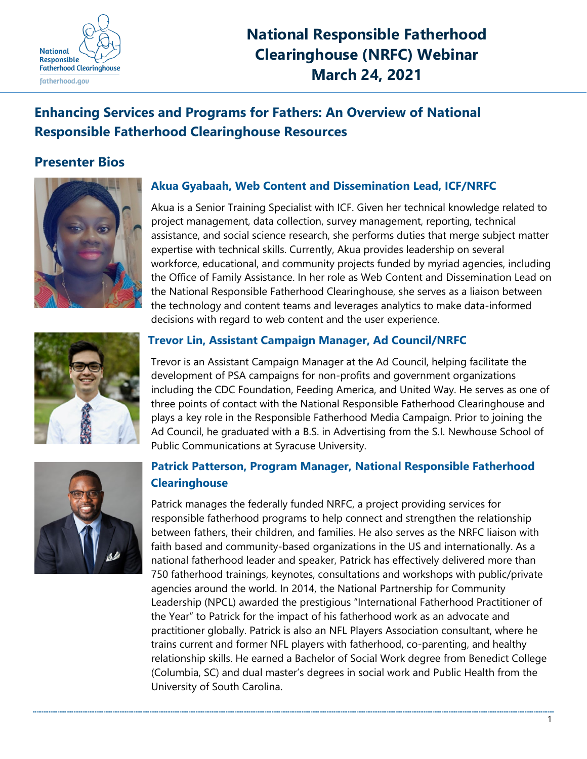

## **National Responsible Fatherhood Clearinghouse (NRFC) Webinar March 24, 2021**

### **Enhancing Services and Programs for Fathers: An Overview of National Responsible Fatherhood Clearinghouse Resources**

### **Presenter Bios**



### **Akua Gyabaah, Web Content and Dissemination Lead, ICF/NRFC**

Akua is a Senior Training Specialist with ICF. Given her technical knowledge related to project management, data collection, survey management, reporting, technical assistance, and social science research, she performs duties that merge subject matter expertise with technical skills. Currently, Akua provides leadership on several workforce, educational, and community projects funded by myriad agencies, including the Office of Family Assistance. In her role as Web Content and Dissemination Lead on the National Responsible Fatherhood Clearinghouse, she serves as a liaison between the technology and content teams and leverages analytics to make data-informed decisions with regard to web content and the user experience.



# **Trevor Lin, Assistant Campaign Manager, Ad Council/NRFC**

Trevor is an Assistant Campaign Manager at the Ad Council, helping facilitate the development of PSA campaigns for non-profits and government organizations including the CDC Foundation, Feeding America, and United Way. He serves as one of three points of contact with the National Responsible Fatherhood Clearinghouse and plays a key role in the Responsible Fatherhood Media Campaign. Prior to joining the Ad Council, he graduated with a B.S. in Advertising from the S.I. Newhouse School of Public Communications at Syracuse University.

### **Patrick Patterson, Program Manager, National Responsible Fatherhood Clearinghouse**

Patrick manages the federally funded NRFC, a project providing services for responsible fatherhood programs to help connect and strengthen the relationship between fathers, their children, and families. He also serves as the NRFC liaison with faith based and community-based organizations in the US and internationally. As a national fatherhood leader and speaker, Patrick has effectively delivered more than 750 fatherhood trainings, keynotes, consultations and workshops with public/private agencies around the world. In 2014, the National Partnership for Community Leadership (NPCL) awarded the prestigious "International Fatherhood Practitioner of the Year" to Patrick for the impact of his fatherhood work as an advocate and practitioner globally. Patrick is also an NFL Players Association consultant, where he trains current and former NFL players with fatherhood, co-parenting, and healthy relationship skills. He earned a Bachelor of Social Work degree from Benedict College (Columbia, SC) and dual master's degrees in social work and Public Health from the University of South Carolina.